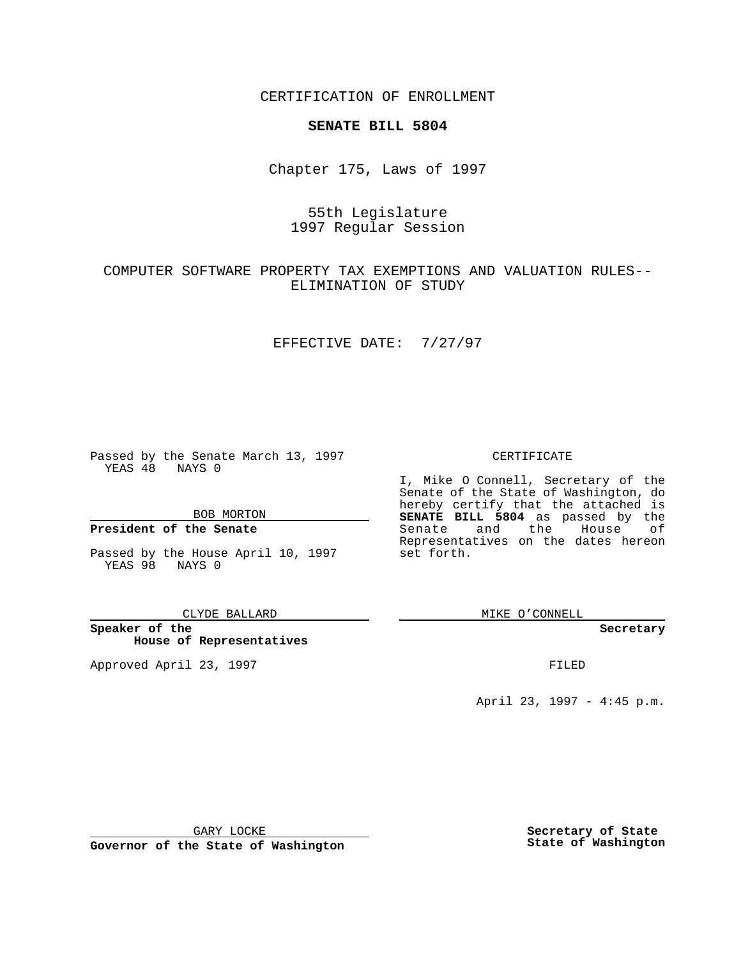CERTIFICATION OF ENROLLMENT

## **SENATE BILL 5804**

Chapter 175, Laws of 1997

# 55th Legislature 1997 Regular Session

## COMPUTER SOFTWARE PROPERTY TAX EXEMPTIONS AND VALUATION RULES-- ELIMINATION OF STUDY

## EFFECTIVE DATE: 7/27/97

Passed by the Senate March 13, 1997 YEAS 48 NAYS 0

BOB MORTON

## **President of the Senate**

Passed by the House April 10, 1997 YEAS 98 NAYS 0

CLYDE BALLARD

**Speaker of the House of Representatives**

Approved April 23, 1997 **FILED** 

### CERTIFICATE

I, Mike O Connell, Secretary of the Senate of the State of Washington, do hereby certify that the attached is **SENATE BILL 5804** as passed by the Senate and the House of Representatives on the dates hereon set forth.

MIKE O'CONNELL

#### **Secretary**

April 23, 1997 - 4:45 p.m.

GARY LOCKE

**Governor of the State of Washington**

**Secretary of State State of Washington**